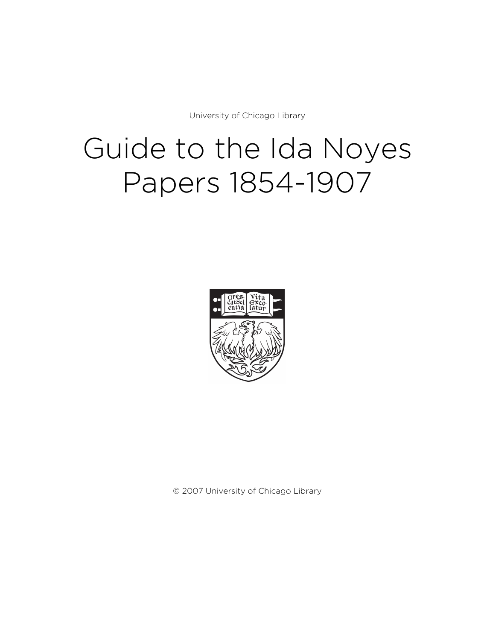University of Chicago Library

# Guide to the Ida Noyes Papers 1854-1907



© 2007 University of Chicago Library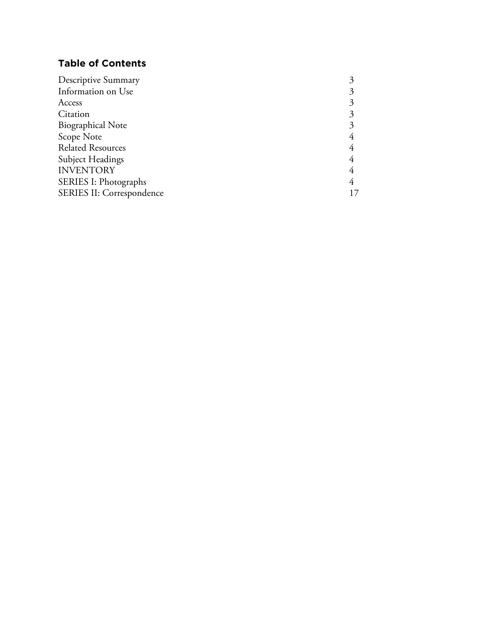# **Table of Contents**

| <b>Descriptive Summary</b> |    |
|----------------------------|----|
| Information on Use         |    |
| Access                     |    |
| Citation                   |    |
| <b>Biographical Note</b>   |    |
| Scope Note                 |    |
| <b>Related Resources</b>   |    |
| <b>Subject Headings</b>    |    |
| <b>INVENTORY</b>           |    |
| SERIES I: Photographs      |    |
| SERIES II: Correspondence  | 17 |
|                            |    |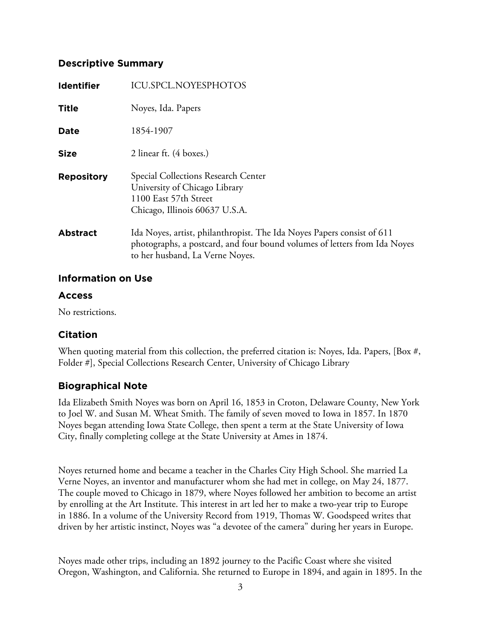# **Descriptive Summary**

| <b>Identifier</b> | ICU.SPCL.NOYESPHOTOS                                                                                                                                                                   |
|-------------------|----------------------------------------------------------------------------------------------------------------------------------------------------------------------------------------|
| <b>Title</b>      | Noyes, Ida. Papers                                                                                                                                                                     |
| <b>Date</b>       | 1854-1907                                                                                                                                                                              |
| <b>Size</b>       | 2 linear ft. (4 boxes.)                                                                                                                                                                |
| <b>Repository</b> | Special Collections Research Center<br>University of Chicago Library<br>1100 East 57th Street<br>Chicago, Illinois 60637 U.S.A.                                                        |
| <b>Abstract</b>   | Ida Noyes, artist, philanthropist. The Ida Noyes Papers consist of 611<br>photographs, a postcard, and four bound volumes of letters from Ida Noyes<br>to her husband, La Verne Noyes. |

# **Information on Use**

# **Access**

No restrictions.

# **Citation**

When quoting material from this collection, the preferred citation is: Noyes, Ida. Papers, [Box #, Folder #], Special Collections Research Center, University of Chicago Library

# **Biographical Note**

Ida Elizabeth Smith Noyes was born on April 16, 1853 in Croton, Delaware County, New York to Joel W. and Susan M. Wheat Smith. The family of seven moved to Iowa in 1857. In 1870 Noyes began attending Iowa State College, then spent a term at the State University of Iowa City, finally completing college at the State University at Ames in 1874.

Noyes returned home and became a teacher in the Charles City High School. She married La Verne Noyes, an inventor and manufacturer whom she had met in college, on May 24, 1877. The couple moved to Chicago in 1879, where Noyes followed her ambition to become an artist by enrolling at the Art Institute. This interest in art led her to make a two-year trip to Europe in 1886. In a volume of the University Record from 1919, Thomas W. Goodspeed writes that driven by her artistic instinct, Noyes was "a devotee of the camera" during her years in Europe.

Noyes made other trips, including an 1892 journey to the Pacific Coast where she visited Oregon, Washington, and California. She returned to Europe in 1894, and again in 1895. In the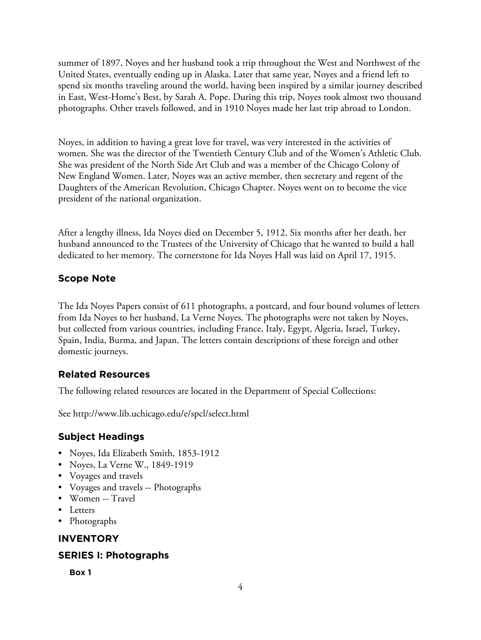summer of 1897, Noyes and her husband took a trip throughout the West and Northwest of the United States, eventually ending up in Alaska. Later that same year, Noyes and a friend left to spend six months traveling around the world, having been inspired by a similar journey described in East, West-Home's Best, by Sarah A. Pope. During this trip, Noyes took almost two thousand photographs. Other travels followed, and in 1910 Noyes made her last trip abroad to London.

Noyes, in addition to having a great love for travel, was very interested in the activities of women. She was the director of the Twentieth Century Club and of the Women's Athletic Club. She was president of the North Side Art Club and was a member of the Chicago Colony of New England Women. Later, Noyes was an active member, then secretary and regent of the Daughters of the American Revolution, Chicago Chapter. Noyes went on to become the vice president of the national organization.

After a lengthy illness, Ida Noyes died on December 5, 1912. Six months after her death, her husband announced to the Trustees of the University of Chicago that he wanted to build a hall dedicated to her memory. The cornerstone for Ida Noyes Hall was laid on April 17, 1915.

# **Scope Note**

The Ida Noyes Papers consist of 611 photographs, a postcard, and four bound volumes of letters from Ida Noyes to her husband, La Verne Noyes. The photographs were not taken by Noyes, but collected from various countries, including France, Italy, Egypt, Algeria, Israel, Turkey, Spain, India, Burma, and Japan. The letters contain descriptions of these foreign and other domestic journeys.

# **Related Resources**

The following related resources are located in the Department of Special Collections:

See http://www.lib.uchicago.edu/e/spcl/select.html

# **Subject Headings**

- Noyes, Ida Elizabeth Smith, 1853-1912
- Noyes, La Verne W., 1849-1919
- Voyages and travels
- Voyages and travels -- Photographs
- Women -- Travel
- Letters
- Photographs

# **INVENTORY**

# **SERIES I: Photographs**

**Box 1**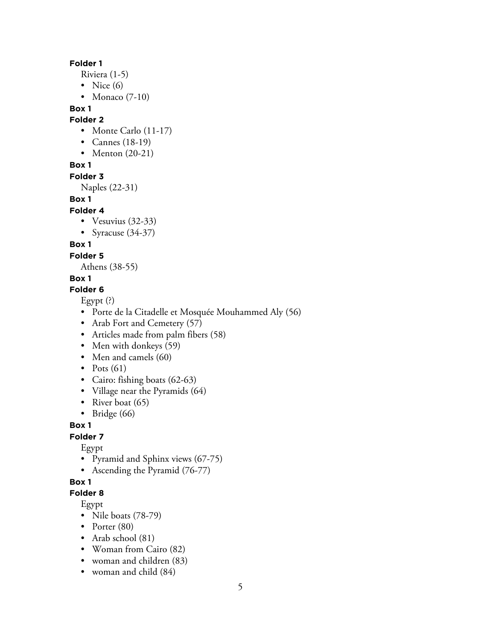#### **Folder 1**

- Riviera (1-5)
- Nice  $(6)$
- Monaco (7-10)

## **Box 1**

#### **Folder 2**

- Monte Carlo (11-17)
- Cannes (18-19)
- Menton (20-21)

## **Box 1**

#### **Folder 3**

Naples (22-31)

## **Box 1**

#### **Folder 4**

- Vesuvius (32-33)
- Syracuse (34-37)

# **Box 1**

## **Folder 5**

Athens (38-55)

## **Box 1**

#### **Folder 6**

Egypt (?)

- Porte de la Citadelle et Mosquée Mouhammed Aly (56)
- Arab Fort and Cemetery (57)
- Articles made from palm fibers (58)
- Men with donkeys (59)
- Men and camels (60)
- Pots  $(61)$
- Cairo: fishing boats (62-63)
- Village near the Pyramids (64)
- River boat (65)
- Bridge (66)

# **Box 1**

# **Folder 7**

Egypt

- Pyramid and Sphinx views (67-75)
- Ascending the Pyramid (76-77)

# **Box 1**

# **Folder 8**

Egypt

- Nile boats (78-79)
- Porter (80)
- Arab school (81)
- Woman from Cairo (82)
- woman and children (83)
- woman and child  $(84)$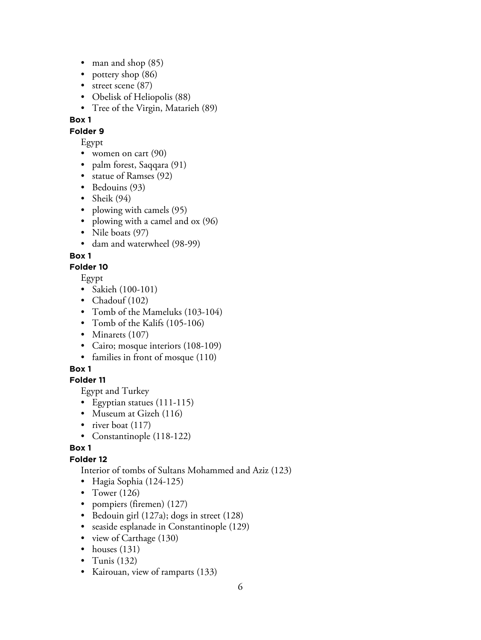- man and shop  $(85)$
- pottery shop (86)
- street scene (87)
- Obelisk of Heliopolis (88)
- Tree of the Virgin, Matarieh (89)

**Folder 9**

Egypt

- women on cart (90)
- palm forest, Saqqara (91)
- statue of Ramses (92)
- Bedouins (93)
- Sheik (94)
- plowing with camels (95)
- plowing with a camel and ox (96)
- Nile boats (97)
- dam and waterwheel (98-99)

# **Box 1**

# **Folder 10**

Egypt

- Sakieh (100-101)
- Chadouf (102)
- Tomb of the Mameluks (103-104)
- Tomb of the Kalifs (105-106)
- Minarets (107)
- Cairo; mosque interiors (108-109)
- families in front of mosque (110)

# **Box 1**

# **Folder 11**

Egypt and Turkey

- Egyptian statues (111-115)
- Museum at Gizeh (116)
- river boat (117)
- Constantinople (118-122)

# **Box 1**

# **Folder 12**

Interior of tombs of Sultans Mohammed and Aziz (123)

- Hagia Sophia (124-125)
- Tower (126)
- pompiers (firemen) (127)
- Bedouin girl (127a); dogs in street (128)
- seaside esplanade in Constantinople (129)
- view of Carthage (130)
- houses  $(131)$
- Tunis  $(132)$
- Kairouan, view of ramparts (133)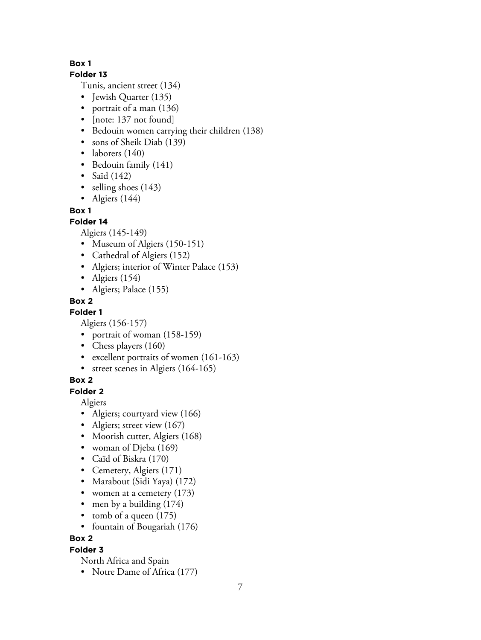## **Folder 13**

Tunis, ancient street (134)

- Jewish Quarter (135)
- portrait of a man (136)
- [note: 137 not found]
- Bedouin women carrying their children (138)
- sons of Sheik Diab (139)
- laborers (140)
- Bedouin family (141)
- Saïd  $(142)$
- selling shoes (143)
- Algiers  $(144)$

# **Box 1**

# **Folder 14**

Algiers (145-149)

- Museum of Algiers (150-151)
- Cathedral of Algiers (152)
- Algiers; interior of Winter Palace (153)
- Algiers  $(154)$
- Algiers; Palace (155)

# **Box 2**

**Folder 1**

Algiers (156-157)

- portrait of woman (158-159)
- Chess players (160)
- excellent portraits of women (161-163)
- street scenes in Algiers (164-165)

# **Box 2**

# **Folder 2**

Algiers

- Algiers; courtyard view (166)
- Algiers; street view (167)
- Moorish cutter, Algiers (168)
- woman of Djeba (169)
- Caïd of Biskra (170)
- Cemetery, Algiers (171)
- Marabout (Sidi Yaya) (172)
- women at a cemetery (173)
- men by a building (174)
- tomb of a queen  $(175)$
- fountain of Bougariah (176)

# **Box 2**

# **Folder 3**

North Africa and Spain

• Notre Dame of Africa (177)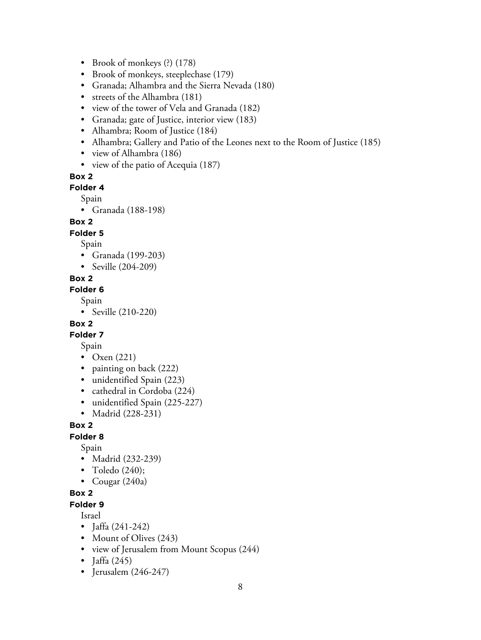- Brook of monkeys (?) (178)
- Brook of monkeys, steeplechase (179)
- Granada; Alhambra and the Sierra Nevada (180)
- streets of the Alhambra (181)
- view of the tower of Vela and Granada (182)
- Granada; gate of Justice, interior view (183)
- Alhambra; Room of Justice (184)
- Alhambra; Gallery and Patio of the Leones next to the Room of Justice (185)
- view of Alhambra (186)
- view of the patio of Acequia (187)

**Folder 4**

Spain

• Granada (188-198)

#### **Box 2**

#### **Folder 5**

Spain

- Granada (199-203)
- Seville (204-209)

#### **Box 2**

**Folder 6**

Spain

• Seville (210-220)

#### **Box 2**

**Folder 7**

Spain

- Oxen (221)
- painting on back (222)
- unidentified Spain (223)
- cathedral in Cordoba (224)
- unidentified Spain (225-227)
- Madrid (228-231)

#### **Box 2**

#### **Folder 8**

Spain

- Madrid (232-239)
- Toledo (240);
- Cougar  $(240a)$

#### **Box 2**

**Folder 9**

Israel

- Jaffa (241-242)
- Mount of Olives (243)
- view of Jerusalem from Mount Scopus (244)
- Jaffa  $(245)$
- Jerusalem (246-247)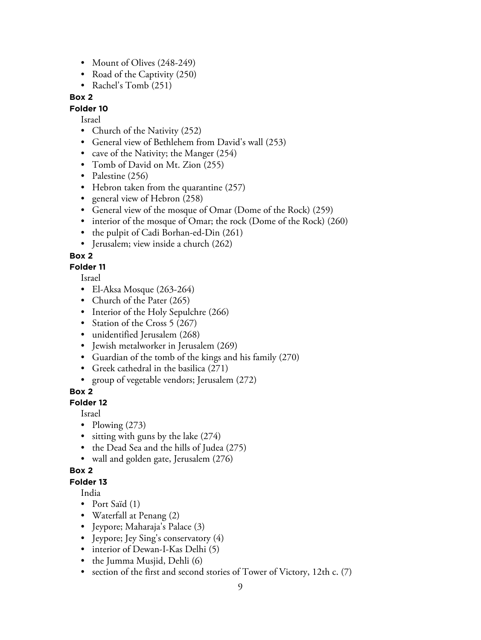- Mount of Olives (248-249)
- Road of the Captivity (250)
- Rachel's Tomb (251)

#### **Folder 10**

Israel

- Church of the Nativity (252)
- General view of Bethlehem from David's wall (253)
- cave of the Nativity; the Manger (254)
- Tomb of David on Mt. Zion (255)
- Palestine (256)
- Hebron taken from the quarantine (257)
- general view of Hebron (258)
- General view of the mosque of Omar (Dome of the Rock) (259)
- interior of the mosque of Omar; the rock (Dome of the Rock) (260)
- the pulpit of Cadi Borhan-ed-Din (261)
- Jerusalem; view inside a church (262)

#### **Box 2**

#### **Folder 11**

Israel

- El-Aksa Mosque (263-264)
- Church of the Pater (265)
- Interior of the Holy Sepulchre (266)
- Station of the Cross 5 (267)
- unidentified Jerusalem (268)
- Jewish metalworker in Jerusalem (269)
- Guardian of the tomb of the kings and his family (270)
- Greek cathedral in the basilica (271)
- group of vegetable vendors; Jerusalem (272)

#### **Box 2**

#### **Folder 12**

Israel

- Plowing  $(273)$
- sitting with guns by the lake  $(274)$
- the Dead Sea and the hills of Judea (275)
- wall and golden gate, Jerusalem (276)

#### **Box 2**

#### **Folder 13**

India

- Port Saïd (1)
- Waterfall at Penang (2)
- Jeypore; Maharaja's Palace (3)
- Jeypore; Jey Sing's conservatory (4)
- interior of Dewan-I-Kas Delhi (5)
- the Jumma Musjid, Dehli (6)
- section of the first and second stories of Tower of Victory, 12th c. (7)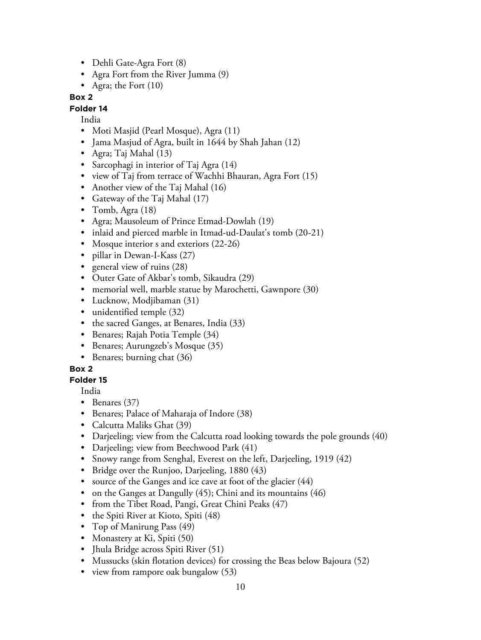- Dehli Gate-Agra Fort (8)
- Agra Fort from the River Jumma (9)
- Agra; the Fort (10)

## **Folder 14**

India

- Moti Masjid (Pearl Mosque), Agra (11)
- Jama Masjud of Agra, built in 1644 by Shah Jahan (12)
- Agra; Taj Mahal (13)
- Sarcophagi in interior of Taj Agra (14)
- view of Taj from terrace of Wachhi Bhauran, Agra Fort (15)
- Another view of the Taj Mahal (16)
- Gateway of the Taj Mahal (17)
- Tomb, Agra (18)
- Agra; Mausoleum of Prince Etmad-Dowlah (19)
- inlaid and pierced marble in Itmad-ud-Daulat's tomb (20-21)
- Mosque interior s and exteriors (22-26)
- pillar in Dewan-I-Kass (27)
- general view of ruins (28)
- Outer Gate of Akbar's tomb, Sikaudra (29)
- memorial well, marble statue by Marochetti, Gawnpore (30)
- Lucknow, Modjibaman (31)
- unidentified temple (32)
- the sacred Ganges, at Benares, India (33)
- Benares; Rajah Potia Temple (34)
- Benares; Aurungzeb's Mosque (35)
- Benares; burning chat (36)

#### **Box 2**

#### **Folder 15**

India

- Benares (37)
- Benares; Palace of Maharaja of Indore (38)
- Calcutta Maliks Ghat (39)
- Darjeeling; view from the Calcutta road looking towards the pole grounds (40)
- Darjeeling; view from Beechwood Park (41)
- Snowy range from Senghal, Everest on the left, Darjeeling, 1919 (42)
- Bridge over the Runjoo, Darjeeling, 1880 (43)
- source of the Ganges and ice cave at foot of the glacier (44)
- on the Ganges at Dangully (45); Chini and its mountains (46)
- from the Tibet Road, Pangi, Great Chini Peaks (47)
- the Spiti River at Kioto, Spiti (48)
- Top of Manirung Pass (49)
- Monastery at Ki, Spiti (50)
- Jhula Bridge across Spiti River (51)
- Mussucks (skin flotation devices) for crossing the Beas below Bajoura (52)
- view from rampore oak bungalow (53)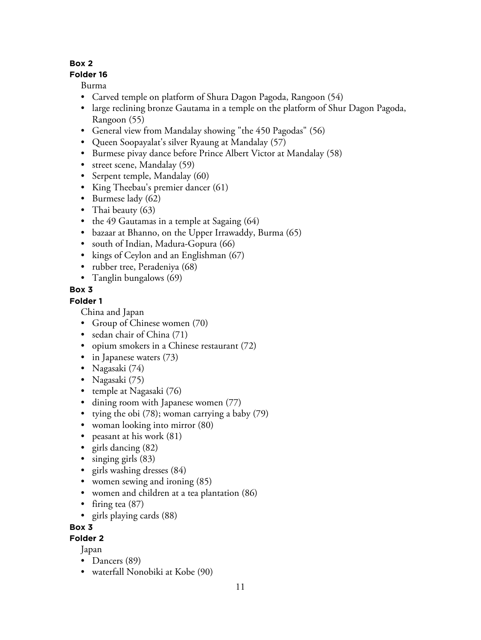# **Folder 16**

Burma

- Carved temple on platform of Shura Dagon Pagoda, Rangoon (54)
- large reclining bronze Gautama in a temple on the platform of Shur Dagon Pagoda, Rangoon (55)
- General view from Mandalay showing "the 450 Pagodas" (56)
- Queen Soopayalat's silver Ryaung at Mandalay (57)
- Burmese pivay dance before Prince Albert Victor at Mandalay (58)
- street scene, Mandalay (59)
- Serpent temple, Mandalay (60)
- King Theebau's premier dancer (61)
- Burmese lady (62)
- Thai beauty (63)
- the 49 Gautamas in a temple at Sagaing (64)
- bazaar at Bhanno, on the Upper Irrawaddy, Burma (65)
- south of Indian, Madura-Gopura (66)
- kings of Ceylon and an Englishman (67)
- rubber tree, Peradeniya (68)
- Tanglin bungalows (69)

# **Box 3**

# **Folder 1**

China and Japan

- Group of Chinese women (70)
- sedan chair of China (71)
- opium smokers in a Chinese restaurant (72)
- in Japanese waters  $(73)$
- Nagasaki (74)
- Nagasaki (75)
- temple at Nagasaki (76)
- dining room with Japanese women (77)
- tying the obi  $(78)$ ; woman carrying a baby  $(79)$
- woman looking into mirror (80)
- peasant at his work (81)
- girls dancing (82)
- singing girls (83)
- girls washing dresses (84)
- women sewing and ironing  $(85)$
- women and children at a tea plantation (86)
- firing tea (87)
- girls playing cards (88)

# **Box 3**

# **Folder 2**

- Dancers (89)
- waterfall Nonobiki at Kobe (90)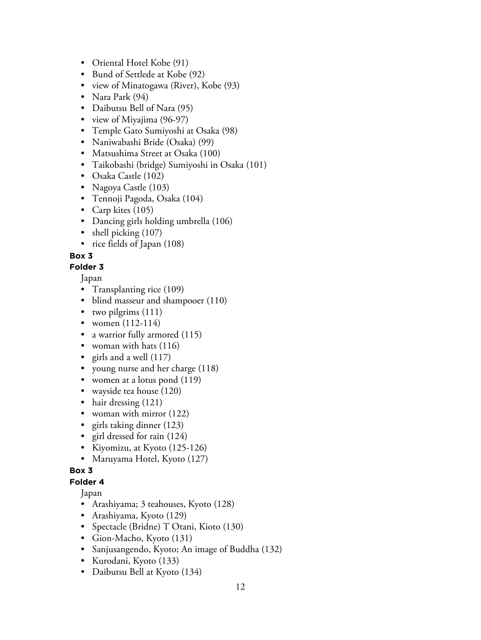- Oriental Hotel Kobe (91)
- Bund of Settlede at Kobe (92)
- view of Minatogawa (River), Kobe (93)
- Nara Park (94)
- Daibutsu Bell of Nara (95)
- view of Miyajima (96-97)
- Temple Gato Sumiyoshi at Osaka (98)
- Naniwabashi Bride (Osaka) (99)
- Matsushima Street at Osaka (100)
- Taikobashi (bridge) Sumiyoshi in Osaka (101)
- Osaka Castle (102)
- Nagoya Castle (103)
- Tennoji Pagoda, Osaka (104)
- Carp kites (105)
- Dancing girls holding umbrella (106)
- shell picking  $(107)$
- rice fields of Japan (108)

## **Folder 3**

Japan

- Transplanting rice (109)
- blind masseur and shampooer (110)
- two pilgrims (111)
- women (112-114)
- a warrior fully armored (115)
- woman with hats (116)
- girls and a well  $(117)$
- young nurse and her charge (118)
- women at a lotus pond (119)
- wayside tea house (120)
- hair dressing (121)
- woman with mirror (122)
- girls taking dinner (123)
- girl dressed for rain (124)
- Kiyomizu, at Kyoto (125-126)
- Maruyama Hotel, Kyoto (127)

#### **Box 3**

#### **Folder 4**

- Arashiyama; 3 teahouses, Kyoto (128)
- Arashiyama, Kyoto (129)
- Spectacle (Bridne) T Otani, Kioto (130)
- Gion-Macho, Kyoto (131)
- Sanjusangendo, Kyoto; An image of Buddha (132)
- Kurodani, Kyoto (133)
- Daibutsu Bell at Kyoto (134)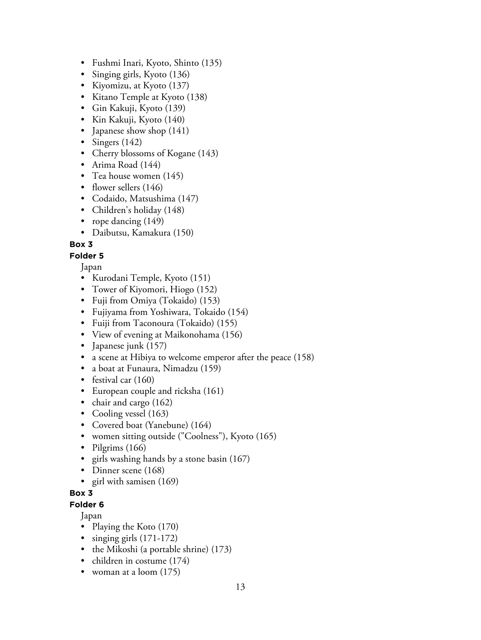- Fushmi Inari, Kyoto, Shinto (135)
- Singing girls, Kyoto (136)
- Kiyomizu, at Kyoto (137)
- Kitano Temple at Kyoto (138)
- Gin Kakuji, Kyoto (139)
- Kin Kakuji, Kyoto (140)
- Japanese show shop (141)
- Singers (142)
- Cherry blossoms of Kogane (143)
- Arima Road (144)
- Tea house women (145)
- flower sellers (146)
- Codaido, Matsushima (147)
- Children's holiday (148)
- rope dancing  $(149)$
- Daibutsu, Kamakura (150)

## **Folder 5**

Japan

- Kurodani Temple, Kyoto (151)
- Tower of Kiyomori, Hiogo (152)
- Fuji from Omiya (Tokaido) (153)
- Fujiyama from Yoshiwara, Tokaido (154)
- Fuiji from Taconoura (Tokaido) (155)
- View of evening at Maikonohama (156)
- Japanese junk (157)
- a scene at Hibiya to welcome emperor after the peace (158)
- a boat at Funaura, Nimadzu (159)
- festival car (160)
- European couple and ricksha (161)
- chair and cargo (162)
- Cooling vessel (163)
- Covered boat (Yanebune) (164)
- women sitting outside ("Coolness"), Kyoto (165)
- Pilgrims (166)
- girls washing hands by a stone basin  $(167)$
- Dinner scene (168)
- girl with samisen (169)

#### **Box 3**

**Folder 6**

- Playing the Koto (170)
- singing girls (171-172)
- the Mikoshi (a portable shrine) (173)
- children in costume (174)
- woman at a loom  $(175)$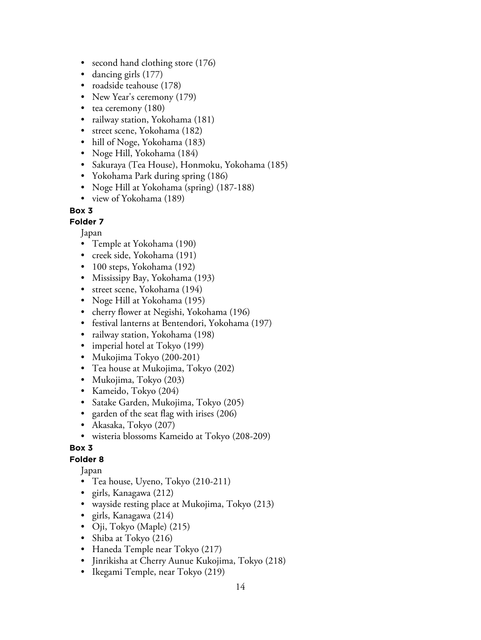- second hand clothing store (176)
- dancing girls (177)
- roadside teahouse (178)
- New Year's ceremony (179)
- tea ceremony (180)
- railway station, Yokohama (181)
- street scene, Yokohama (182)
- hill of Noge, Yokohama (183)
- Noge Hill, Yokohama (184)
- Sakuraya (Tea House), Honmoku, Yokohama (185)
- Yokohama Park during spring (186)
- Noge Hill at Yokohama (spring) (187-188)
- view of Yokohama (189)

#### **Folder 7**

Japan

- Temple at Yokohama (190)
- creek side, Yokohama (191)
- 100 steps, Yokohama (192)
- Mississipy Bay, Yokohama (193)
- street scene, Yokohama (194)
- Noge Hill at Yokohama (195)
- cherry flower at Negishi, Yokohama (196)
- festival lanterns at Bentendori, Yokohama (197)
- railway station, Yokohama (198)
- imperial hotel at Tokyo (199)
- Mukojima Tokyo (200-201)
- Tea house at Mukojima, Tokyo (202)
- Mukojima, Tokyo (203)
- Kameido, Tokyo (204)
- Satake Garden, Mukojima, Tokyo (205)
- garden of the seat flag with irises (206)
- Akasaka, Tokyo (207)
- wisteria blossoms Kameido at Tokyo (208-209)

#### **Box 3**

#### **Folder 8**

- Tea house, Uyeno, Tokyo (210-211)
- girls, Kanagawa (212)
- wayside resting place at Mukojima, Tokyo (213)
- girls, Kanagawa (214)
- Oji, Tokyo (Maple) (215)
- Shiba at Tokyo (216)
- Haneda Temple near Tokyo (217)
- Jinrikisha at Cherry Aunue Kukojima, Tokyo (218)
- Ikegami Temple, near Tokyo (219)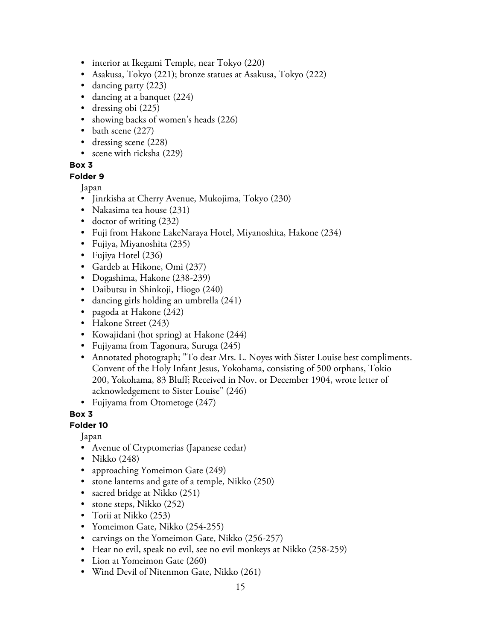- interior at Ikegami Temple, near Tokyo (220)
- Asakusa, Tokyo (221); bronze statues at Asakusa, Tokyo (222)
- dancing party (223)
- dancing at a banquet (224)
- dressing obi (225)
- showing backs of women's heads (226)
- bath scene (227)
- dressing scene (228)
- scene with ricksha (229)

#### **Folder 9**

Japan

- Jinrkisha at Cherry Avenue, Mukojima, Tokyo (230)
- Nakasima tea house (231)
- doctor of writing (232)
- Fuji from Hakone LakeNaraya Hotel, Miyanoshita, Hakone (234)
- Fujiya, Miyanoshita (235)
- Fujiya Hotel (236)
- Gardeb at Hikone, Omi (237)
- Dogashima, Hakone (238-239)
- Daibutsu in Shinkoji, Hiogo (240)
- dancing girls holding an umbrella (241)
- pagoda at Hakone (242)
- Hakone Street (243)
- Kowajidani (hot spring) at Hakone (244)
- Fujiyama from Tagonura, Suruga (245)
- Annotated photograph; "To dear Mrs. L. Noyes with Sister Louise best compliments. Convent of the Holy Infant Jesus, Yokohama, consisting of 500 orphans, Tokio 200, Yokohama, 83 Bluff; Received in Nov. or December 1904, wrote letter of acknowledgement to Sister Louise" (246)
- Fujiyama from Otometoge (247)

**Box 3**

# **Folder 10**

- Avenue of Cryptomerias (Japanese cedar)
- Nikko (248)
- approaching Yomeimon Gate (249)
- stone lanterns and gate of a temple, Nikko (250)
- sacred bridge at Nikko (251)
- stone steps, Nikko (252)
- Torii at Nikko (253)
- Yomeimon Gate, Nikko (254-255)
- carvings on the Yomeimon Gate, Nikko (256-257)
- Hear no evil, speak no evil, see no evil monkeys at Nikko (258-259)
- Lion at Yomeimon Gate (260)
- Wind Devil of Nitenmon Gate, Nikko (261)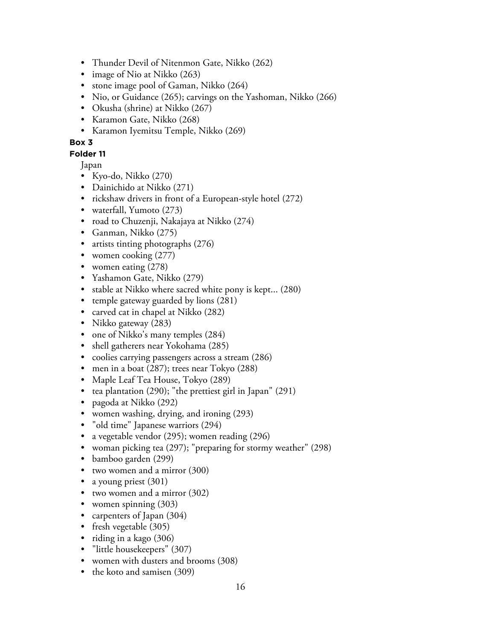- Thunder Devil of Nitenmon Gate, Nikko (262)
- image of Nio at Nikko (263)
- stone image pool of Gaman, Nikko (264)
- Nio, or Guidance (265); carvings on the Yashoman, Nikko (266)
- Okusha (shrine) at Nikko (267)
- Karamon Gate, Nikko (268)
- Karamon Iyemitsu Temple, Nikko (269)

#### **Folder 11**

- Kyo-do, Nikko (270)
- Dainichido at Nikko (271)
- rickshaw drivers in front of a European-style hotel (272)
- waterfall, Yumoto (273)
- road to Chuzenji, Nakajaya at Nikko (274)
- Ganman, Nikko (275)
- artists tinting photographs (276)
- women cooking (277)
- women eating (278)
- Yashamon Gate, Nikko (279)
- stable at Nikko where sacred white pony is kept... (280)
- temple gateway guarded by lions (281)
- carved cat in chapel at Nikko (282)
- Nikko gateway (283)
- one of Nikko's many temples (284)
- shell gatherers near Yokohama (285)
- coolies carrying passengers across a stream (286)
- men in a boat (287); trees near Tokyo (288)
- Maple Leaf Tea House, Tokyo (289)
- tea plantation  $(290)$ ; "the prettiest girl in Japan"  $(291)$
- pagoda at Nikko (292)
- women washing, drying, and ironing (293)
- "old time" Japanese warriors (294)
- a vegetable vendor (295); women reading (296)
- woman picking tea (297); "preparing for stormy weather" (298)
- bamboo garden (299)
- two women and a mirror (300)
- a young priest (301)
- two women and a mirror (302)
- women spinning (303)
- carpenters of Japan (304)
- fresh vegetable (305)
- riding in a kago (306)
- "little housekeepers" (307)
- women with dusters and brooms (308)
- the koto and samisen (309)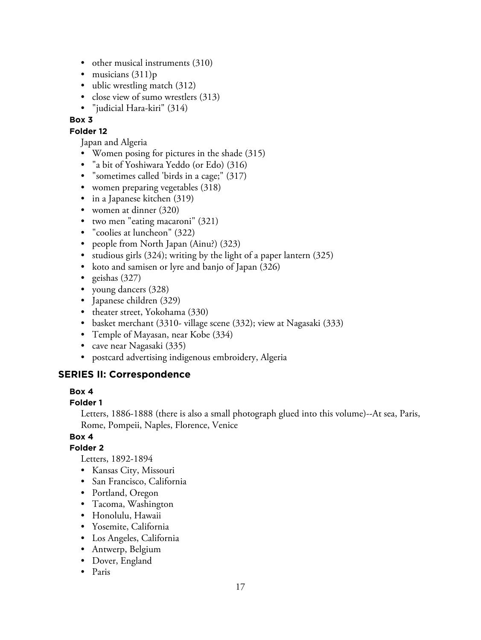- other musical instruments (310)
- musicians  $(311)p$
- ublic wrestling match (312)
- close view of sumo wrestlers (313)
- "judicial Hara-kiri" (314)

#### **Folder 12**

- Japan and Algeria
- Women posing for pictures in the shade (315)
- "a bit of Yoshiwara Yeddo (or Edo) (316)
- "sometimes called 'birds in a cage;" (317)
- women preparing vegetables (318)
- in a Japanese kitchen (319)
- women at dinner (320)
- two men "eating macaroni" (321)
- "coolies at luncheon" (322)
- people from North Japan (Ainu?) (323)
- studious girls (324); writing by the light of a paper lantern (325)
- koto and samisen or lyre and banjo of Japan (326)
- geishas  $(327)$
- young dancers (328)
- Japanese children (329)
- theater street, Yokohama (330)
- basket merchant (3310- village scene (332); view at Nagasaki (333)
- Temple of Mayasan, near Kobe (334)
- cave near Nagasaki (335)
- postcard advertising indigenous embroidery, Algeria

# **SERIES II: Correspondence**

#### **Box 4**

#### **Folder 1**

Letters, 1886-1888 (there is also a small photograph glued into this volume)--At sea, Paris, Rome, Pompeii, Naples, Florence, Venice

#### **Box 4**

### **Folder 2**

Letters, 1892-1894

- Kansas City, Missouri
- San Francisco, California
- Portland, Oregon
- Tacoma, Washington
- Honolulu, Hawaii
- Yosemite, California
- Los Angeles, California
- Antwerp, Belgium
- Dover, England
- Paris